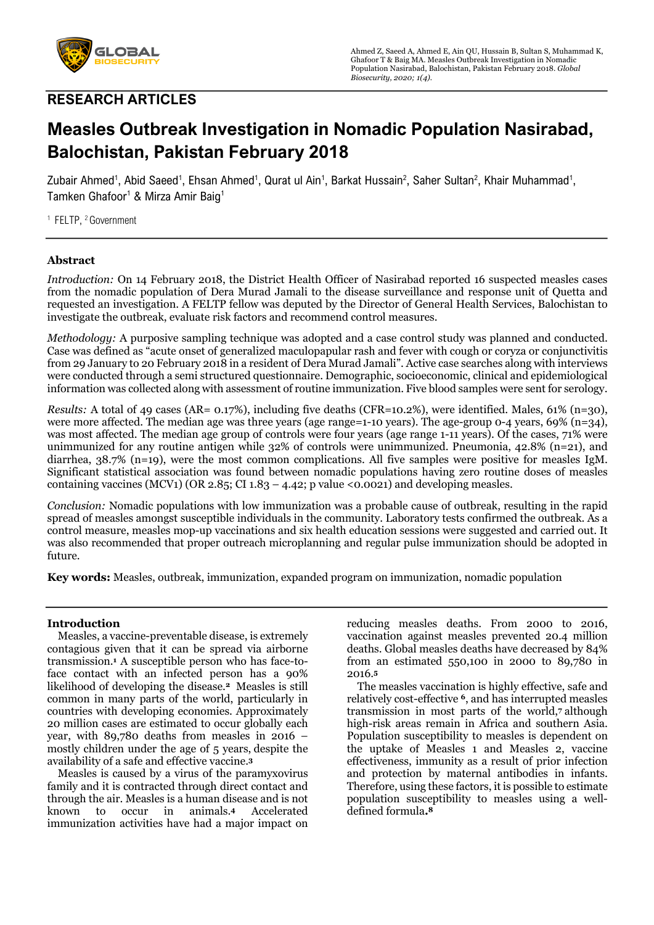

## **RESEARCH ARTICLES**

# **Measles Outbreak Investigation in Nomadic Population Nasirabad, Balochistan, Pakistan February 2018**

Zubair Ahmed<sup>1</sup>, Abid Saeed<sup>1</sup>, Ehsan Ahmed<sup>1</sup>, Qurat ul Ain<sup>1</sup>, Barkat Hussain<sup>2</sup>, Saher Sultan<sup>2</sup>, Khair Muhammad<sup>1</sup>, Tamken Ghafoor<sup>1</sup> & Mirza Amir Baig<sup>1</sup>

<sup>1</sup> FELTP, <sup>2</sup> Government

## **Abstract**

*Introduction:* On 14 February 2018, the District Health Officer of Nasirabad reported 16 suspected measles cases from the nomadic population of Dera Murad Jamali to the disease surveillance and response unit of Quetta and requested an investigation. A FELTP fellow was deputed by the Director of General Health Services, Balochistan to investigate the outbreak, evaluate risk factors and recommend control measures.

*Methodology:* A purposive sampling technique was adopted and a case control study was planned and conducted. Case was defined as "acute onset of generalized maculopapular rash and fever with cough or coryza or conjunctivitis from 29 January to 20 February 2018 in a resident of Dera Murad Jamali". Active case searches along with interviews were conducted through a semi structured questionnaire. Demographic, socioeconomic, clinical and epidemiological information was collected along with assessment of routine immunization. Five blood samples were sent for serology.

*Results:* A total of 49 cases (AR= 0.17%), including five deaths (CFR=10.2%), were identified. Males, 61% (n=30), were more affected. The median age was three years (age range=1-10 years). The age-group 0-4 years, 69% (n=34), was most affected. The median age group of controls were four years (age range 1-11 years). Of the cases, 71% were unimmunized for any routine antigen while 32% of controls were unimmunized. Pneumonia, 42.8% (n=21), and diarrhea, 38.7% (n=19), were the most common complications. All five samples were positive for measles IgM. Significant statistical association was found between nomadic populations having zero routine doses of measles containing vaccines (MCV1) (OR 2.85; CI 1.83 – 4.42; p value <0.0021) and developing measles.

*Conclusion:* Nomadic populations with low immunization was a probable cause of outbreak, resulting in the rapid spread of measles amongst susceptible individuals in the community. Laboratory tests confirmed the outbreak. As a control measure, measles mop-up vaccinations and six health education sessions were suggested and carried out. It was also recommended that proper outreach microplanning and regular pulse immunization should be adopted in future.

**Key words:** Measles, outbreak, immunization, expanded program on immunization, nomadic population

## **Introduction**

 Measles, a vaccine-preventable disease, is extremely contagious given that it can be spread via airborne transmission.**<sup>1</sup>** A susceptible person who has face-toface contact with an infected person has a 90% likelihood of developing the disease.**<sup>2</sup>** Measles is still common in many parts of the world, particularly in countries with developing economies. Approximately 20 million cases are estimated to occur globally each year, with 89,780 deaths from measles in 2016 – mostly children under the age of 5 years, despite the availability of a safe and effective vaccine.**<sup>3</sup>**

 Measles is caused by a virus of the paramyxovirus family and it is contracted through direct contact and through the air. Measles is a human disease and is not known to occur in animals.**<sup>4</sup>** Accelerated immunization activities have had a major impact on reducing measles deaths. From 2000 to 2016, vaccination against measles prevented 20.4 million deaths. Global measles deaths have decreased by 84% from an estimated 550,100 in 2000 to 89,780 in 2016.**<sup>5</sup>**

 The measles vaccination is highly effective, safe and relatively cost-effective **6**, and has interrupted measles transmission in most parts of the world,**<sup>7</sup>** although high-risk areas remain in Africa and southern Asia. Population susceptibility to measles is dependent on the uptake of Measles 1 and Measles 2, vaccine effectiveness, immunity as a result of prior infection and protection by maternal antibodies in infants. Therefore, using these factors, it is possible to estimate population susceptibility to measles using a welldefined formula**.8**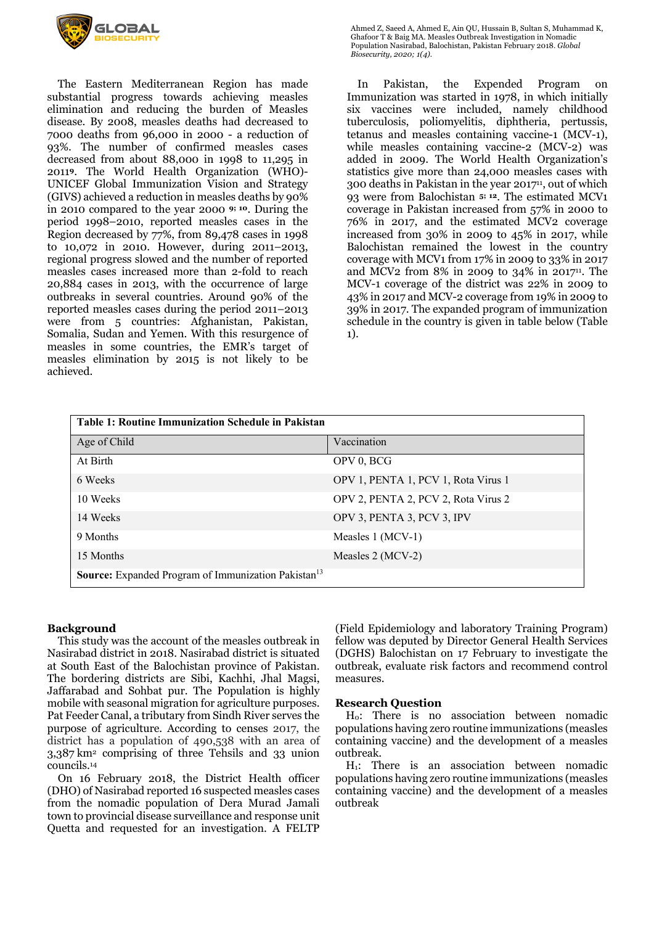

 The Eastern Mediterranean Region has made substantial progress towards achieving measles elimination and reducing the burden of Measles disease. By 2008, measles deaths had decreased to 7000 deaths from 96,000 in 2000 - a reduction of 93%. The number of confirmed measles cases decreased from about 88,000 in 1998 to 11,295 in 2011**9**. The World Health Organization (WHO)- UNICEF Global Immunization Vision and Strategy (GIVS) achieved a reduction in measles deaths by 90% in 2010 compared to the year 2000 **9; 10**. During the period 1998–2010, reported measles cases in the Region decreased by 77%, from 89,478 cases in 1998 to 10,072 in 2010. However, during 2011–2013, regional progress slowed and the number of reported measles cases increased more than 2-fold to reach 20,884 cases in 2013, with the occurrence of large outbreaks in several countries. Around 90% of the reported measles cases during the period 2011–2013 were from 5 countries: Afghanistan, Pakistan, Somalia, Sudan and Yemen. With this resurgence of measles in some countries, the EMR's target of measles elimination by 2015 is not likely to be achieved.

Ahmed Z, Saeed A, Ahmed E, Ain QU, Hussain B, Sultan S, Muhammad K, Ghafoor T & Baig MA. Measles Outbreak Investigation in Nomadic Population Nasirabad, Balochistan, Pakistan February 2018. *Global Biosecurity, 2020; 1(4).*

 In Pakistan, the Expended Program on Immunization was started in 1978, in which initially six vaccines were included, namely childhood tuberculosis, poliomyelitis, diphtheria, pertussis, tetanus and measles containing vaccine-1 (MCV-1), while measles containing vaccine-2 (MCV-2) was added in 2009. The World Health Organization's statistics give more than 24,000 measles cases with 300 deaths in Pakistan in the year 201711, out of which 93 were from Balochistan **5; 12**. The estimated MCV1 coverage in Pakistan increased from 57% in 2000 to 76% in 2017, and the estimated MCV2 coverage increased from 30% in 2009 to 45% in 2017, while Balochistan remained the lowest in the country coverage with MCV1 from 17% in 2009 to 33% in 2017 and MCV2 from 8% in 2009 to 34% in 201711. The MCV-1 coverage of the district was 22% in 2009 to 43% in 2017 and MCV-2 coverage from 19% in 2009 to 39% in 2017. The expanded program of immunization schedule in the country is given in table below (Table 1).

| <b>Table 1: Routine Immunization Schedule in Pakistan</b>       |                                     |  |
|-----------------------------------------------------------------|-------------------------------------|--|
| Age of Child                                                    | Vaccination                         |  |
| At Birth                                                        | OPV 0, BCG                          |  |
| 6 Weeks                                                         | OPV 1, PENTA 1, PCV 1, Rota Virus 1 |  |
| 10 Weeks                                                        | OPV 2, PENTA 2, PCV 2, Rota Virus 2 |  |
| 14 Weeks                                                        | OPV 3, PENTA 3, PCV 3, IPV          |  |
| 9 Months                                                        | Measles 1 (MCV-1)                   |  |
| 15 Months                                                       | Measles 2 (MCV-2)                   |  |
| Source: Expanded Program of Immunization Pakistan <sup>13</sup> |                                     |  |

#### **Background**

 This study was the account of the measles outbreak in Nasirabad district in 2018. Nasirabad district is situated at South East of the Balochistan province of Pakistan. The bordering districts are Sibi, Kachhi, Jhal Magsi, Jaffarabad and Sohbat pur. The Population is highly mobile with seasonal migration for agriculture purposes. Pat Feeder Canal, a tributary from Sindh River serves the purpose of agriculture. According to censes 2017, the district has a population of 490,538 with an area of 3,387 km2 comprising of three Tehsils and 33 union councils.14

 On 16 February 2018, the District Health officer (DHO) of Nasirabad reported 16 suspected measles cases from the nomadic population of Dera Murad Jamali town to provincial disease surveillance and response unit Quetta and requested for an investigation. A FELTP

(Field Epidemiology and laboratory Training Program) fellow was deputed by Director General Health Services (DGHS) Balochistan on 17 February to investigate the outbreak, evaluate risk factors and recommend control measures.

#### **Research Question**

 H0: There is no association between nomadic populations having zero routine immunizations (measles containing vaccine) and the development of a measles outbreak.

 H1: There is an association between nomadic populations having zero routine immunizations (measles containing vaccine) and the development of a measles outbreak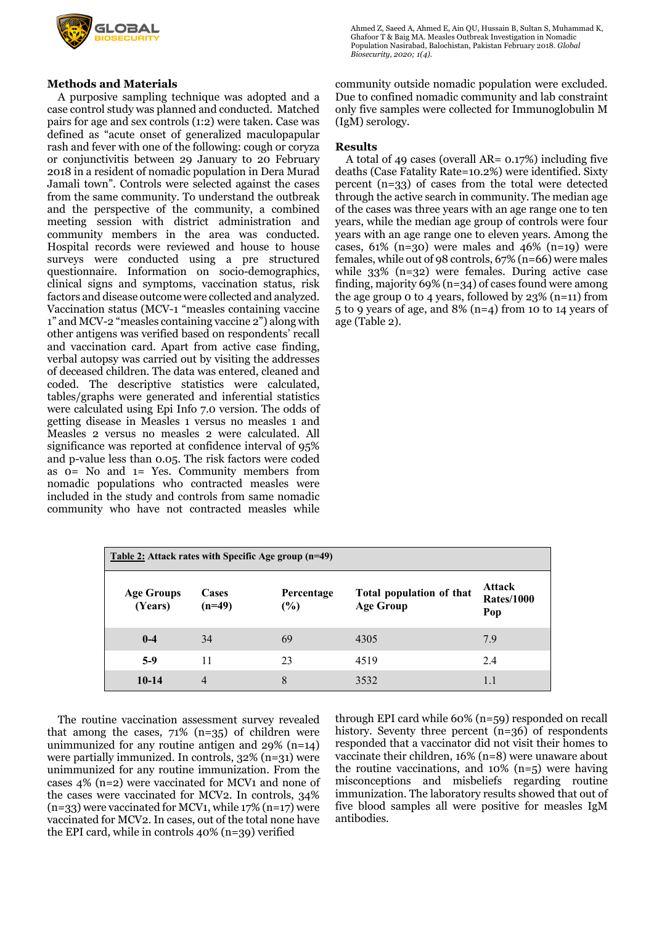

## **Methods and Materials**

 A purposive sampling technique was adopted and a case control study was planned and conducted. Matched pairs for age and sex controls (1:2) were taken. Case was defined as "acute onset of generalized maculopapular rash and fever with one of the following: cough or coryza or conjunctivitis between 29 January to 20 February 2018 in a resident of nomadic population in Dera Murad Jamali town". Controls were selected against the cases from the same community. To understand the outbreak and the perspective of the community, a combined meeting session with district administration and community members in the area was conducted. Hospital records were reviewed and house to house surveys were conducted using a pre structured questionnaire. Information on socio-demographics, clinical signs and symptoms, vaccination status, risk factors and disease outcome were collected and analyzed. Vaccination status (MCV-1 "measles containing vaccine 1" and MCV-2 "measles containing vaccine 2") along with other antigens was verified based on respondents' recall and vaccination card. Apart from active case finding, verbal autopsy was carried out by visiting the addresses of deceased children. The data was entered, cleaned and coded. The descriptive statistics were calculated, tables/graphs were generated and inferential statistics were calculated using Epi Info 7.0 version. The odds of getting disease in Measles 1 versus no measles 1 and Measles 2 versus no measles 2 were calculated. All significance was reported at confidence interval of 95% and p-value less than 0.05. The risk factors were coded as 0= No and 1= Yes. Community members from nomadic populations who contracted measles were included in the study and controls from same nomadic community who have not contracted measles while

Ahmed Z, Saeed A, Ahmed E, Ain QU, Hussain B, Sultan S, Muhammad K, Ghafoor T & Baig MA. Measles Outbreak Investigation in Nomadic Population Nasirabad, Balochistan, Pakistan February 2018. *Global Biosecurity, 2020; 1(4).*

community outside nomadic population were excluded. Due to confined nomadic community and lab constraint only five samples were collected for Immunoglobulin M (IgM) serology.

#### **Results**

 A total of 49 cases (overall AR= 0.17%) including five deaths (Case Fatality Rate=10.2%) were identified. Sixty percent (n=33) of cases from the total were detected through the active search in community. The median age of the cases was three years with an age range one to ten years, while the median age group of controls were four years with an age range one to eleven years. Among the cases,  $61\%$  (n=30) were males and  $46\%$  (n=19) were females, while out of 98 controls, 67% (n=66) were males while 33% (n=32) were females. During active case finding, majority 69% (n=34) of cases found were among the age group 0 to 4 years, followed by 23% (n=11) from 5 to 9 years of age, and 8% (n=4) from 10 to 14 years of age (Table 2).

| Table 2: Attack rates with Specific Age group (n=49) |                   |                   |                                              |                                           |  |  |
|------------------------------------------------------|-------------------|-------------------|----------------------------------------------|-------------------------------------------|--|--|
| <b>Age Groups</b><br>(Years)                         | Cases<br>$(n=49)$ | Percentage<br>(%) | Total population of that<br><b>Age Group</b> | <b>Attack</b><br><b>Rates/1000</b><br>Pop |  |  |
| $0 - 4$                                              | 34                | 69                | 4305                                         | 7.9                                       |  |  |
| $5-9$                                                | 11                | 23                | 4519                                         | 2.4                                       |  |  |
| $10-14$                                              | $\overline{4}$    | 8                 | 3532                                         | 1.1                                       |  |  |

 The routine vaccination assessment survey revealed that among the cases,  $71\%$  (n=35) of children were unimmunized for any routine antigen and 29% (n=14) were partially immunized. In controls, 32% (n=31) were unimmunized for any routine immunization. From the cases 4% (n=2) were vaccinated for MCV1 and none of the cases were vaccinated for MCV2. In controls, 34% (n=33) were vaccinated for MCV1, while 17% (n=17) were vaccinated for MCV2. In cases, out of the total none have the EPI card, while in controls 40% (n=39) verified

through EPI card while 60% (n=59) responded on recall history. Seventy three percent (n=36) of respondents responded that a vaccinator did not visit their homes to vaccinate their children, 16% (n=8) were unaware about the routine vaccinations, and 10% (n=5) were having misconceptions and misbeliefs regarding routine immunization. The laboratory results showed that out of five blood samples all were positive for measles IgM antibodies.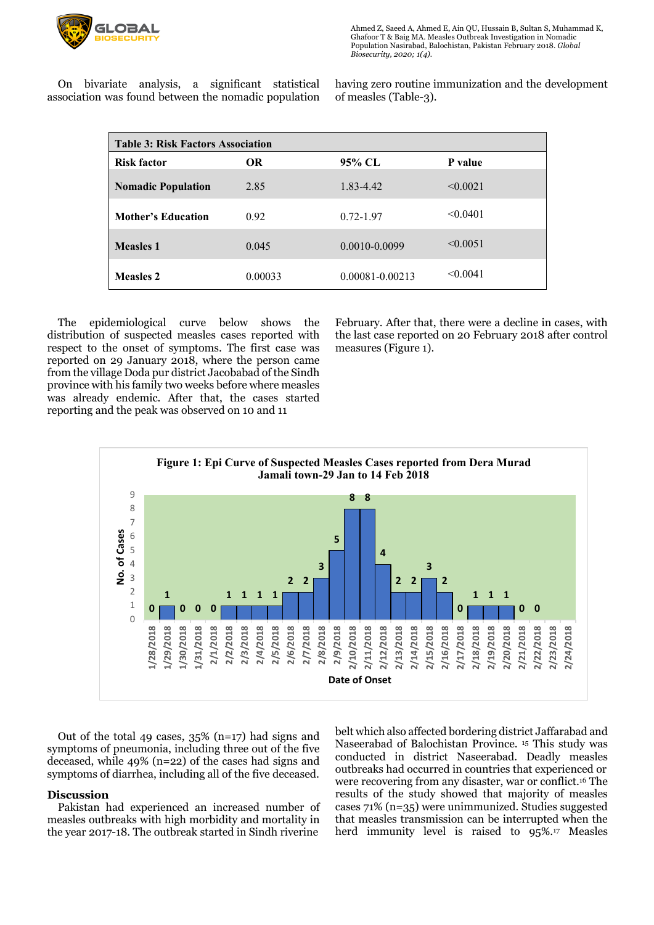

Ahmed Z, Saeed A, Ahmed E, Ain QU, Hussain B, Sultan S, Muhammad K, Ghafoor T & Baig MA. Measles Outbreak Investigation in Nomadic Population Nasirabad, Balochistan, Pakistan February 2018. *Global Biosecurity, 2020; 1(4).*

 On bivariate analysis, a significant statistical association was found between the nomadic population having zero routine immunization and the development of measles (Table-3).

| <b>Table 3: Risk Factors Association</b> |         |                 |          |  |  |
|------------------------------------------|---------|-----------------|----------|--|--|
| <b>Risk factor</b>                       | OR.     | 95% CL          | P value  |  |  |
| <b>Nomadic Population</b>                | 2.85    | 1.83-4.42       | < 0.0021 |  |  |
| <b>Mother's Education</b>                | 0.92    | $0.72 - 1.97$   | < 0.0401 |  |  |
| <b>Measles 1</b>                         | 0.045   | 0.0010-0.0099   | < 0.0051 |  |  |
| <b>Measles 2</b>                         | 0.00033 | 0.00081-0.00213 | < 0.0041 |  |  |

 The epidemiological curve below shows the distribution of suspected measles cases reported with respect to the onset of symptoms. The first case was reported on 29 January 2018, where the person came from the village Doda pur district Jacobabad of the Sindh province with his family two weeks before where measles was already endemic. After that, the cases started reporting and the peak was observed on 10 and 11

February. After that, there were a decline in cases, with the last case reported on 20 February 2018 after control measures (Figure 1).



 Out of the total 49 cases, 35% (n=17) had signs and symptoms of pneumonia, including three out of the five deceased, while 49% (n=22) of the cases had signs and symptoms of diarrhea, including all of the five deceased.

#### **Discussion**

 Pakistan had experienced an increased number of measles outbreaks with high morbidity and mortality in the year 2017-18. The outbreak started in Sindh riverine

belt which also affected bordering district Jaffarabad and Naseerabad of Balochistan Province. 15 This study was conducted in district Naseerabad. Deadly measles outbreaks had occurred in countries that experienced or were recovering from any disaster, war or conflict.16 The results of the study showed that majority of measles cases 71% (n=35) were unimmunized. Studies suggested that measles transmission can be interrupted when the herd immunity level is raised to 95%.17 Measles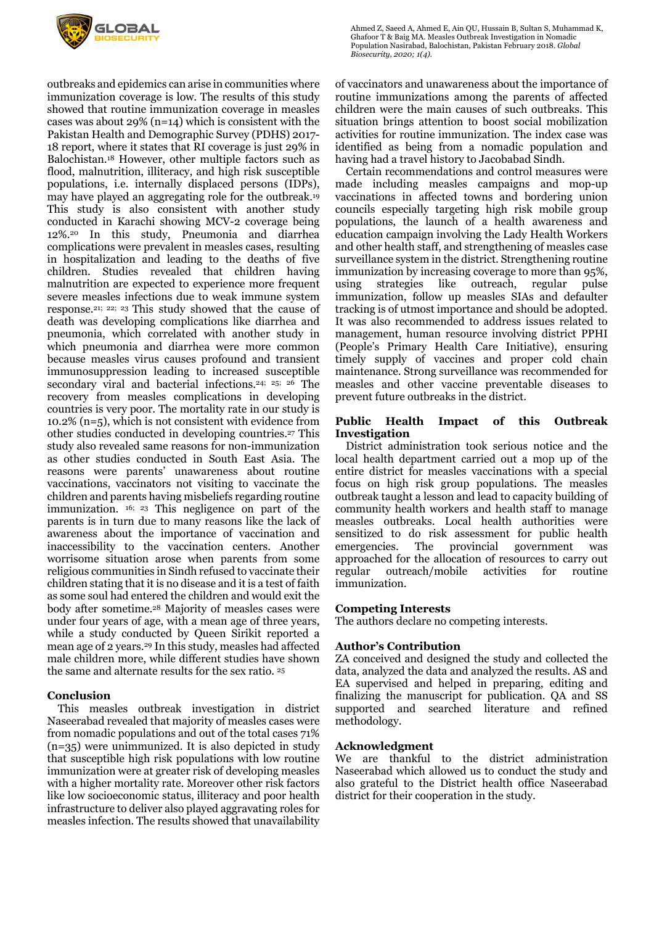

outbreaks and epidemics can arise in communities where immunization coverage is low. The results of this study showed that routine immunization coverage in measles cases was about 29% (n=14) which is consistent with the Pakistan Health and Demographic Survey (PDHS) 2017- 18 report, where it states that RI coverage is just 29% in Balochistan.18 However, other multiple factors such as flood, malnutrition, illiteracy, and high risk susceptible populations, i.e. internally displaced persons (IDPs), may have played an aggregating role for the outbreak.19 This study is also consistent with another study conducted in Karachi showing MCV-2 coverage being 12%.20 In this study, Pneumonia and diarrhea complications were prevalent in measles cases, resulting in hospitalization and leading to the deaths of five children. Studies revealed that children having malnutrition are expected to experience more frequent severe measles infections due to weak immune system response.21; 22; 23 This study showed that the cause of death was developing complications like diarrhea and pneumonia, which correlated with another study in which pneumonia and diarrhea were more common because measles virus causes profound and transient immunosuppression leading to increased susceptible secondary viral and bacterial infections.<sup>24; 25; 26</sup> The recovery from measles complications in developing countries is very poor. The mortality rate in our study is 10.2% (n=5), which is not consistent with evidence from other studies conducted in developing countries.27 This study also revealed same reasons for non-immunization as other studies conducted in South East Asia. The reasons were parents' unawareness about routine vaccinations, vaccinators not visiting to vaccinate the children and parents having misbeliefs regarding routine immunization. 16; 23 This negligence on part of the parents is in turn due to many reasons like the lack of awareness about the importance of vaccination and inaccessibility to the vaccination centers. Another worrisome situation arose when parents from some religious communities in Sindh refused to vaccinate their children stating that it is no disease and it is a test of faith as some soul had entered the children and would exit the body after sometime.28 Majority of measles cases were under four years of age, with a mean age of three years, while a study conducted by Queen Sirikit reported a mean age of 2 years.29 In this study, measles had affected male children more, while different studies have shown the same and alternate results for the sex ratio. 25

## **Conclusion**

 This measles outbreak investigation in district Naseerabad revealed that majority of measles cases were from nomadic populations and out of the total cases 71% (n=35) were unimmunized. It is also depicted in study that susceptible high risk populations with low routine immunization were at greater risk of developing measles with a higher mortality rate. Moreover other risk factors like low socioeconomic status, illiteracy and poor health infrastructure to deliver also played aggravating roles for measles infection. The results showed that unavailability

Ahmed Z, Saeed A, Ahmed E, Ain QU, Hussain B, Sultan S, Muhammad K, Ghafoor T & Baig MA. Measles Outbreak Investigation in Nomadic Population Nasirabad, Balochistan, Pakistan February 2018. *Global Biosecurity, 2020; 1(4).*

of vaccinators and unawareness about the importance of routine immunizations among the parents of affected children were the main causes of such outbreaks. This situation brings attention to boost social mobilization activities for routine immunization. The index case was identified as being from a nomadic population and having had a travel history to Jacobabad Sindh.

 Certain recommendations and control measures were made including measles campaigns and mop-up vaccinations in affected towns and bordering union councils especially targeting high risk mobile group populations, the launch of a health awareness and education campaign involving the Lady Health Workers and other health staff, and strengthening of measles case surveillance system in the district. Strengthening routine immunization by increasing coverage to more than 95%,<br>using strategies like outreach, regular pulse using strategies like outreach, regular immunization, follow up measles SIAs and defaulter tracking is of utmost importance and should be adopted. It was also recommended to address issues related to management, human resource involving district PPHI (People's Primary Health Care Initiative), ensuring timely supply of vaccines and proper cold chain maintenance. Strong surveillance was recommended for measles and other vaccine preventable diseases to prevent future outbreaks in the district.

## **Public Health Impact of this Outbreak Investigation**

 District administration took serious notice and the local health department carried out a mop up of the entire district for measles vaccinations with a special focus on high risk group populations. The measles outbreak taught a lesson and lead to capacity building of community health workers and health staff to manage measles outbreaks. Local health authorities were sensitized to do risk assessment for public health emergencies. The provincial government was approached for the allocation of resources to carry out regular outreach/mobile activities for routine immunization.

## **Competing Interests**

The authors declare no competing interests.

## **Author's Contribution**

ZA conceived and designed the study and collected the data, analyzed the data and analyzed the results. AS and EA supervised and helped in preparing, editing and finalizing the manuscript for publication. QA and SS supported and searched literature and refined methodology.

## **Acknowledgment**

We are thankful to the district administration Naseerabad which allowed us to conduct the study and also grateful to the District health office Naseerabad district for their cooperation in the study.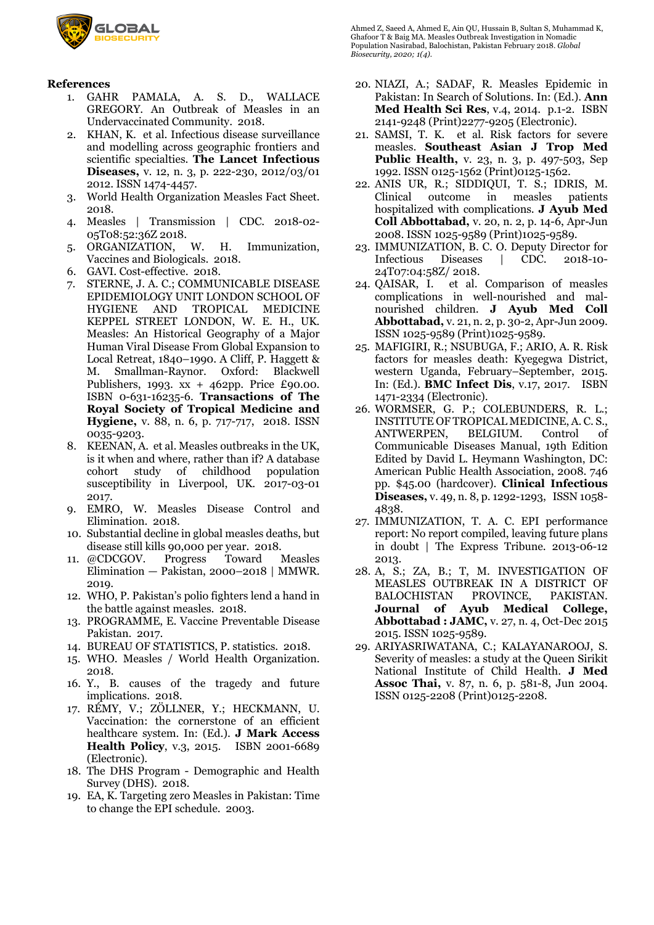

## **References**

- 1. GAHR PAMALA, A. S. D., WALLACE GREGORY. An Outbreak of Measles in an Undervaccinated Community. 2018.
- 2. KHAN, K. et al. Infectious disease surveillance and modelling across geographic frontiers and scientific specialties. **The Lancet Infectious Diseases,** v. 12, n. 3, p. 222-230, 2012/03/01 2012. ISSN 1474-4457.
- 3. World Health Organization Measles Fact Sheet. 2018.
- 4. Measles | Transmission | CDC. 2018-02- 05T08:52:36Z 2018.
- 5. ORGANIZATION, W. H. Immunization, Vaccines and Biologicals. 2018.
- 6. GAVI. Cost-effective. 2018.
- 7. STERNE, J. A. C.; COMMUNICABLE DISEASE EPIDEMIOLOGY UNIT LONDON SCHOOL OF HYGIENE AND TROPICAL MEDICINE KEPPEL STREET LONDON, W. E. H., UK. Measles: An Historical Geography of a Major Human Viral Disease From Global Expansion to Local Retreat, 1840–1990. A Cliff, P. Haggett & M. Smallman-Raynor. Oxford: Blackwell Publishers, 1993.  $xx + 462$ pp. Price £90.00. ISBN 0-631-16235-6. **Transactions of The Royal Society of Tropical Medicine and Hygiene,** v. 88, n. 6, p. 717-717, 2018. ISSN 0035-9203.
- 8. KEENAN, A. et al. Measles outbreaks in the UK, is it when and where, rather than if? A database cohort study of childhood population susceptibility in Liverpool, UK. 2017-03-01 2017.
- 9. EMRO, W. Measles Disease Control and Elimination. 2018.
- 10. Substantial decline in global measles deaths, but disease still kills 90,000 per year. 2018.
- 11. @CDCGOV. Progress Toward Measles Elimination — Pakistan, 2000–2018 | MMWR. 2019.
- 12. WHO, P. Pakistan's polio fighters lend a hand in the battle against measles. 2018.
- 13. PROGRAMME, E. Vaccine Preventable Disease Pakistan. 2017.
- 14. BUREAU OF STATISTICS, P. statistics. 2018.
- 15. WHO. Measles / World Health Organization. 2018.
- 16. Y., B. causes of the tragedy and future implications. 2018.
- 17. RÉMY, V.; ZÖLLNER, Y.; HECKMANN, U. Vaccination: the cornerstone of an efficient healthcare system. In: (Ed.). **J Mark Access Health Policy**, v.3, 2015. ISBN 2001-6689 (Electronic).
- 18. The DHS Program Demographic and Health Survey (DHS). 2018.
- 19. EA, K. Targeting zero Measles in Pakistan: Time to change the EPI schedule. 2003.

Ahmed Z, Saeed A, Ahmed E, Ain QU, Hussain B, Sultan S, Muhammad K, Ghafoor T & Baig MA. Measles Outbreak Investigation in Nomadic Population Nasirabad, Balochistan, Pakistan February 2018. *Global Biosecurity, 2020; 1(4).*

- 20. NIAZI, A.; SADAF, R. Measles Epidemic in Pakistan: In Search of Solutions. In: (Ed.). **Ann Med Health Sci Res**, v.4, 2014. p.1-2. ISBN 2141-9248 (Print)2277-9205 (Electronic).
- 21. SAMSI, T. K. et al. Risk factors for severe measles. **Southeast Asian J Trop Med Public Health,** v. 23, n. 3, p. 497-503, Sep 1992. ISSN 0125-1562 (Print)0125-1562.
- 22. ANIS UR, R.; SIDDIQUI, T. S.; IDRIS, M. Clinical outcome in measles patients hospitalized with complications. **J Ayub Med Coll Abbottabad,** v. 20, n. 2, p. 14-6, Apr-Jun 2008. ISSN 1025-9589 (Print)1025-9589.
- 23. IMMUNIZATION, B. C. O. Deputy Director for Infectious Diseases | CDC. 2018-10- 24T07:04:58Z/ 2018.
- 24. QAISAR, I. et al. Comparison of measles complications in well-nourished and malnourished children. **J Ayub Med Coll Abbottabad,** v. 21, n. 2, p. 30-2, Apr-Jun 2009. ISSN 1025-9589 (Print)1025-9589.
- 25. MAFIGIRI, R.; NSUBUGA, F.; ARIO, A. R. Risk factors for measles death: Kyegegwa District, western Uganda, February–September, 2015. In: (Ed.). **BMC Infect Dis**, v.17, 2017. ISBN 1471-2334 (Electronic).
- 26. WORMSER, G. P.; COLEBUNDERS, R. L.; INSTITUTE OF TROPICAL MEDICINE, A. C. S., ANTWERPEN, BELGIUM. Control of Communicable Diseases Manual, 19th Edition Edited by David L. Heymann Washington, DC: American Public Health Association, 2008. 746 pp. \$45.00 (hardcover). **Clinical Infectious Diseases,** v. 49, n. 8, p. 1292-1293, ISSN 1058- 4838.
- 27. IMMUNIZATION, T. A. C. EPI performance report: No report compiled, leaving future plans in doubt | The Express Tribune. 2013-06-12 2013.
- 28. A, S.; ZA, B.; T, M. INVESTIGATION OF MEASLES OUTBREAK IN A DISTRICT OF BALOCHISTAN PROVINCE, PAKISTAN. **Journal of Ayub Medical College, Abbottabad : JAMC,** v. 27, n. 4, Oct-Dec 2015 2015. ISSN 1025-9589.
- 29. ARIYASRIWATANA, C.; KALAYANAROOJ, S. Severity of measles: a study at the Queen Sirikit National Institute of Child Health. **J Med Assoc Thai,** v. 87, n. 6, p. 581-8, Jun 2004. ISSN 0125-2208 (Print)0125-2208.